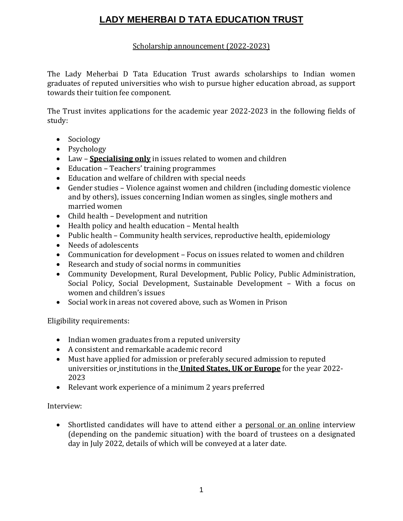# **LADY MEHERBAI D TATA EDUCATION TRUST**

### Scholarship announcement (2022-2023)

The Lady Meherbai D Tata Education Trust awards scholarships to Indian women graduates of reputed universities who wish to pursue higher education abroad, as support towards their tuition fee component.

The Trust invites applications for the academic year 2022-2023 in the following fields of study:

- Sociology
- Psychology
- Law **Specialising only** in issues related to women and children
- Education Teachers' training programmes
- Education and welfare of children with special needs
- Gender studies Violence against women and children (including domestic violence and by others), issues concerning Indian women as singles, single mothers and married women
- Child health Development and nutrition
- Health policy and health education Mental health
- Public health Community health services, reproductive health, epidemiology
- Needs of adolescents
- Communication for development Focus on issues related to women and children
- Research and study of social norms in communities
- Community Development, Rural Development, Public Policy, Public Administration, Social Policy, Social Development, Sustainable Development – With a focus on women and children's issues
- Social work in areas not covered above, such as Women in Prison

Eligibility requirements:

- Indian women graduates from a reputed university
- A consistent and remarkable academic record
- Must have applied for admission or preferably secured admission to reputed universities or institutions in the **United States, UK or Europe** for the year 2022- 2023
- Relevant work experience of a minimum 2 years preferred

#### Interview:

 Shortlisted candidates will have to attend either a personal or an online interview (depending on the pandemic situation) with the board of trustees on a designated day in July 2022, details of which will be conveyed at a later date.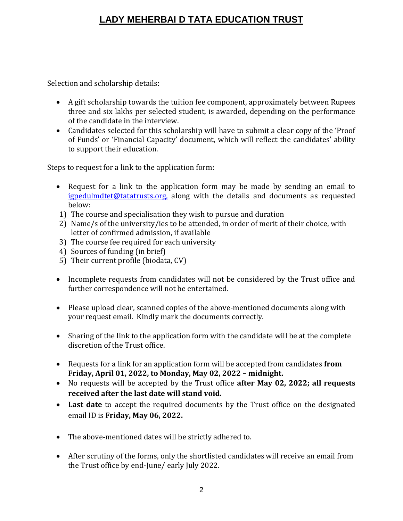## **LADY MEHERBAI D TATA EDUCATION TRUST**

Selection and scholarship details:

- A gift scholarship towards the tuition fee component, approximately between Rupees three and six lakhs per selected student, is awarded, depending on the performance of the candidate in the interview.
- Candidates selected for this scholarship will have to submit a clear copy of the 'Proof of Funds' or 'Financial Capacity' document, which will reflect the candidates' ability to support their education.

Steps to request for a link to the application form:

- Request for a link to the application form may be made by sending an email to [igpedulmdtet@tatatrusts.org,](mailto:igpedulmdtet@tatatrusts.org) along with the details and documents as requested below:
- 1) The course and specialisation they wish to pursue and duration
- 2) Name/s of the university/ies to be attended, in order of merit of their choice, with letter of confirmed admission, if available
- 3) The course fee required for each university
- 4) Sources of funding (in brief)
- 5) Their current profile (biodata, CV)
- Incomplete requests from candidates will not be considered by the Trust office and further correspondence will not be entertained.
- Please upload clear, scanned copies of the above-mentioned documents along with your request email. Kindly mark the documents correctly.
- Sharing of the link to the application form with the candidate will be at the complete discretion of the Trust office.
- Requests for a link for an application form will be accepted from candidates **from Friday, April 01, 2022, to Monday, May 02, 2022 – midnight.**
- No requests will be accepted by the Trust office **after May 02, 2022; all requests received after the last date will stand void.**
- **Last date** to accept the required documents by the Trust office on the designated email ID is **Friday, May 06, 2022.**
- The above-mentioned dates will be strictly adhered to.
- After scrutiny of the forms, only the shortlisted candidates will receive an email from the Trust office by end-June/ early July 2022.